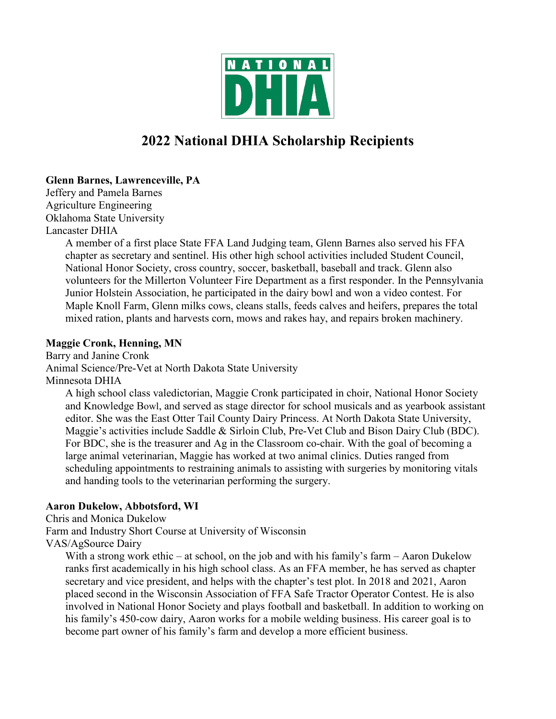

# **2022 National DHIA Scholarship Recipients**

# **Glenn Barnes, Lawrenceville, PA**

Jeffery and Pamela Barnes Agriculture Engineering Oklahoma State University Lancaster DHIA

> A member of a first place State FFA Land Judging team, Glenn Barnes also served his FFA chapter as secretary and sentinel. His other high school activities included Student Council, National Honor Society, cross country, soccer, basketball, baseball and track. Glenn also volunteers for the Millerton Volunteer Fire Department as a first responder. In the Pennsylvania Junior Holstein Association, he participated in the dairy bowl and won a video contest. For Maple Knoll Farm, Glenn milks cows, cleans stalls, feeds calves and heifers, prepares the total mixed ration, plants and harvests corn, mows and rakes hay, and repairs broken machinery.

# **Maggie Cronk, Henning, MN**

Barry and Janine Cronk Animal Science/Pre-Vet at North Dakota State University Minnesota DHIA

A high school class valedictorian, Maggie Cronk participated in choir, National Honor Society and Knowledge Bowl, and served as stage director for school musicals and as yearbook assistant editor. She was the East Otter Tail County Dairy Princess. At North Dakota State University, Maggie's activities include Saddle & Sirloin Club, Pre-Vet Club and Bison Dairy Club (BDC). For BDC, she is the treasurer and Ag in the Classroom co-chair. With the goal of becoming a large animal veterinarian, Maggie has worked at two animal clinics. Duties ranged from scheduling appointments to restraining animals to assisting with surgeries by monitoring vitals and handing tools to the veterinarian performing the surgery.

# **Aaron Dukelow, Abbotsford, WI**

Chris and Monica Dukelow

Farm and Industry Short Course at University of Wisconsin

VAS/AgSource Dairy

With a strong work ethic – at school, on the job and with his family's farm – Aaron Dukelow ranks first academically in his high school class. As an FFA member, he has served as chapter secretary and vice president, and helps with the chapter's test plot. In 2018 and 2021, Aaron placed second in the Wisconsin Association of FFA Safe Tractor Operator Contest. He is also involved in National Honor Society and plays football and basketball. In addition to working on his family's 450-cow dairy, Aaron works for a mobile welding business. His career goal is to become part owner of his family's farm and develop a more efficient business.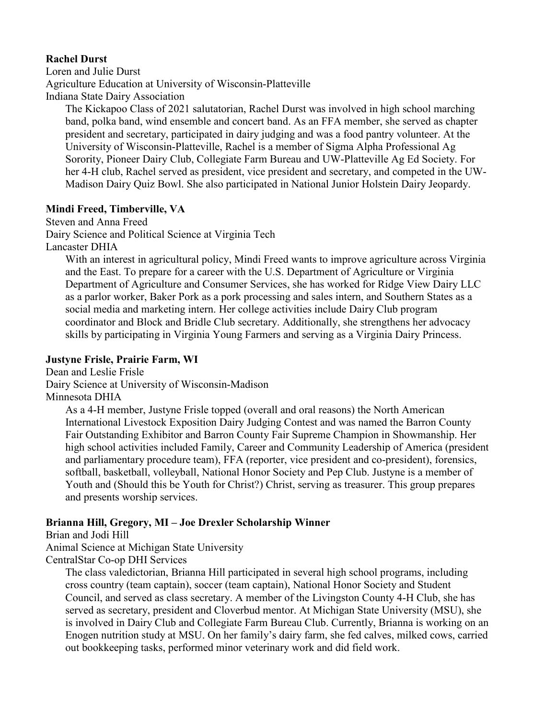## **Rachel Durst**

Loren and Julie Durst Agriculture Education at University of Wisconsin-Platteville Indiana State Dairy Association

The Kickapoo Class of 2021 salutatorian, Rachel Durst was involved in high school marching band, polka band, wind ensemble and concert band. As an FFA member, she served as chapter president and secretary, participated in dairy judging and was a food pantry volunteer. At the University of Wisconsin-Platteville, Rachel is a member of Sigma Alpha Professional Ag Sorority, Pioneer Dairy Club, Collegiate Farm Bureau and UW-Platteville Ag Ed Society. For her 4-H club, Rachel served as president, vice president and secretary, and competed in the UW-Madison Dairy Quiz Bowl. She also participated in National Junior Holstein Dairy Jeopardy.

### **Mindi Freed, Timberville, VA**

Steven and Anna Freed

Dairy Science and Political Science at Virginia Tech

Lancaster DHIA

With an interest in agricultural policy, Mindi Freed wants to improve agriculture across Virginia and the East. To prepare for a career with the U.S. Department of Agriculture or Virginia Department of Agriculture and Consumer Services, she has worked for Ridge View Dairy LLC as a parlor worker, Baker Pork as a pork processing and sales intern, and Southern States as a social media and marketing intern. Her college activities include Dairy Club program coordinator and Block and Bridle Club secretary. Additionally, she strengthens her advocacy skills by participating in Virginia Young Farmers and serving as a Virginia Dairy Princess.

## **Justyne Frisle, Prairie Farm, WI**

Dean and Leslie Frisle

Dairy Science at University of Wisconsin-Madison

Minnesota DHIA

As a 4-H member, Justyne Frisle topped (overall and oral reasons) the North American International Livestock Exposition Dairy Judging Contest and was named the Barron County Fair Outstanding Exhibitor and Barron County Fair Supreme Champion in Showmanship. Her high school activities included Family, Career and Community Leadership of America (president and parliamentary procedure team), FFA (reporter, vice president and co-president), forensics, softball, basketball, volleyball, National Honor Society and Pep Club. Justyne is a member of Youth and (Should this be Youth for Christ?) Christ, serving as treasurer. This group prepares and presents worship services.

# **Brianna Hill, Gregory, MI – Joe Drexler Scholarship Winner**

Brian and Jodi Hill

Animal Science at Michigan State University

CentralStar Co-op DHI Services

The class valedictorian, Brianna Hill participated in several high school programs, including cross country (team captain), soccer (team captain), National Honor Society and Student Council, and served as class secretary. A member of the Livingston County 4-H Club, she has served as secretary, president and Cloverbud mentor. At Michigan State University (MSU), she is involved in Dairy Club and Collegiate Farm Bureau Club. Currently, Brianna is working on an Enogen nutrition study at MSU. On her family's dairy farm, she fed calves, milked cows, carried out bookkeeping tasks, performed minor veterinary work and did field work.